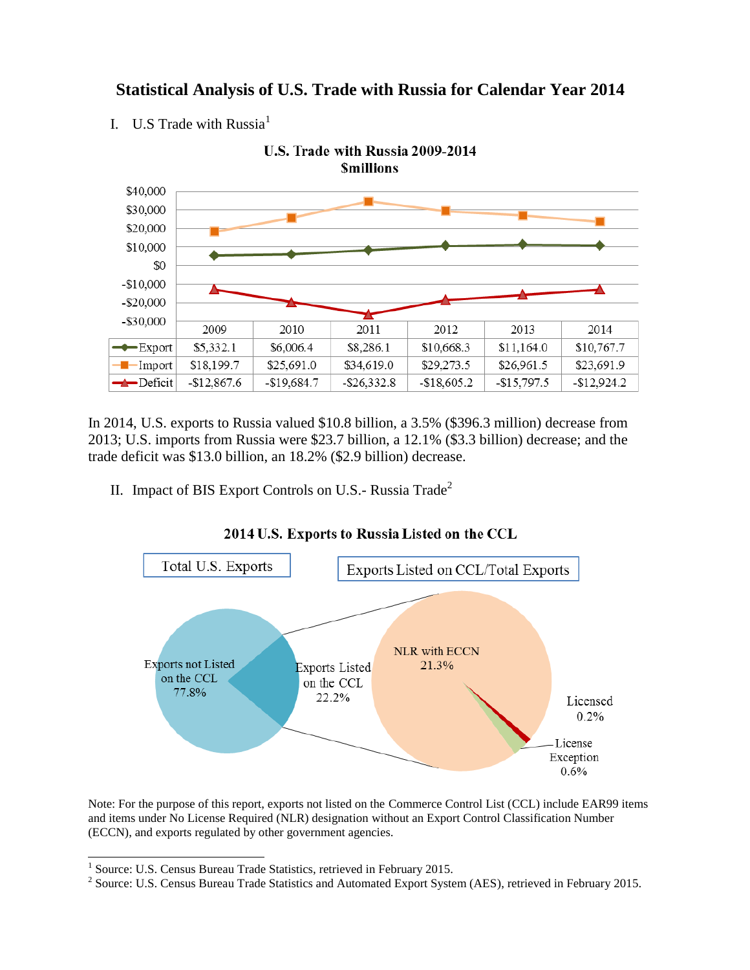## **Statistical Analysis of U.S. Trade with Russia for Calendar Year 2014**

I. U.S Trade with Russia $<sup>1</sup>$ </sup>



In 2014, U.S. exports to Russia valued \$10.8 billion, a 3.5% (\$396.3 million) decrease from 2013; U.S. imports from Russia were \$23.7 billion, a 12.1% (\$3.3 billion) decrease; and the trade deficit was \$13.0 billion, an 18.2% (\$2.9 billion) decrease.

II. Impact of BIS Export Controls on U.S.- Russia Trade<sup>2</sup>



## 2014 U.S. Exports to Russia Listed on the CCL

Note: For the purpose of this report, exports not listed on the Commerce Control List (CCL) include EAR99 items and items under No License Required (NLR) designation without an Export Control Classification Number (ECCN), and exports regulated by other government agencies.

 1 Source: U.S. Census Bureau Trade Statistics, retrieved in February 2015.

<sup>&</sup>lt;sup>2</sup> Source: U.S. Census Bureau Trade Statistics and Automated Export System (AES), retrieved in February 2015.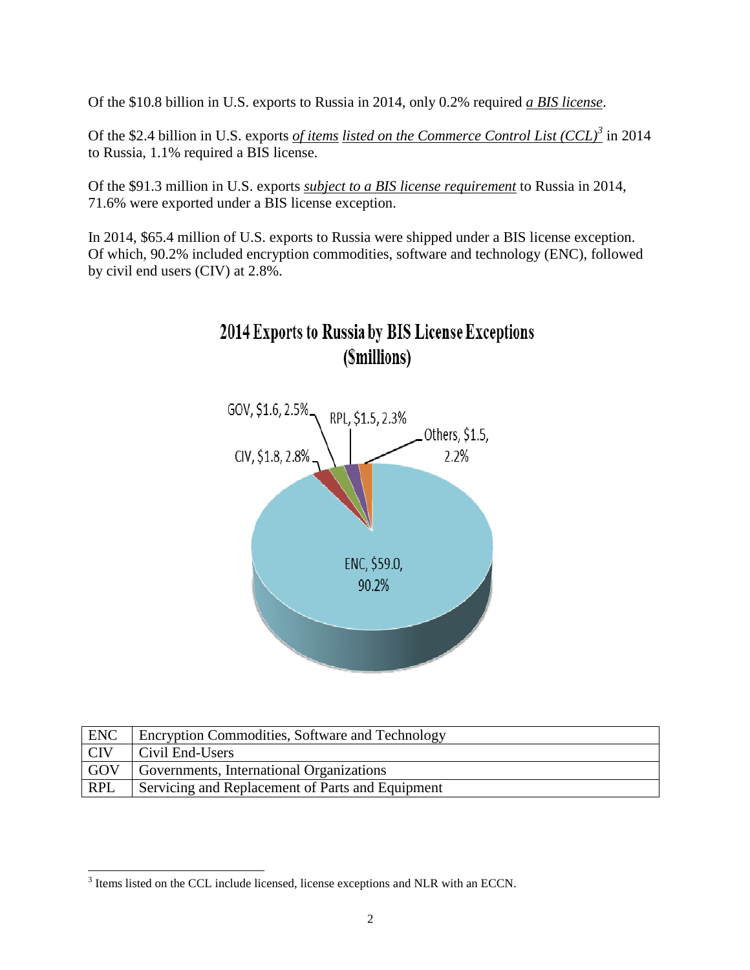Of the \$10.8 billion in U.S. exports to Russia in 2014, only 0.2% required *a BIS license*.

Of the \$2.4 billion in U.S. exports *of items listed on the Commerce Control List (CCL)<sup>3</sup>* in 2014 to Russia, 1.1% required a BIS license.

Of the \$91.3 million in U.S. exports *subject to a BIS license requirement* to Russia in 2014, 71.6% were exported under a BIS license exception.

In 2014, \$65.4 million of U.S. exports to Russia were shipped under a BIS license exception. Of which, 90.2% included encryption commodities, software and technology (ENC), followed by civil end users (CIV) at 2.8%.





| <b>ENC</b> | <b>Encryption Commodities, Software and Technology</b> |
|------------|--------------------------------------------------------|
| $ $ CIV    | Civil End-Users                                        |
| GOV        | Governments, International Organizations               |
| <b>RPL</b> | Servicing and Replacement of Parts and Equipment       |

<sup>&</sup>lt;sup>3</sup> Items listed on the CCL include licensed, license exceptions and NLR with an ECCN.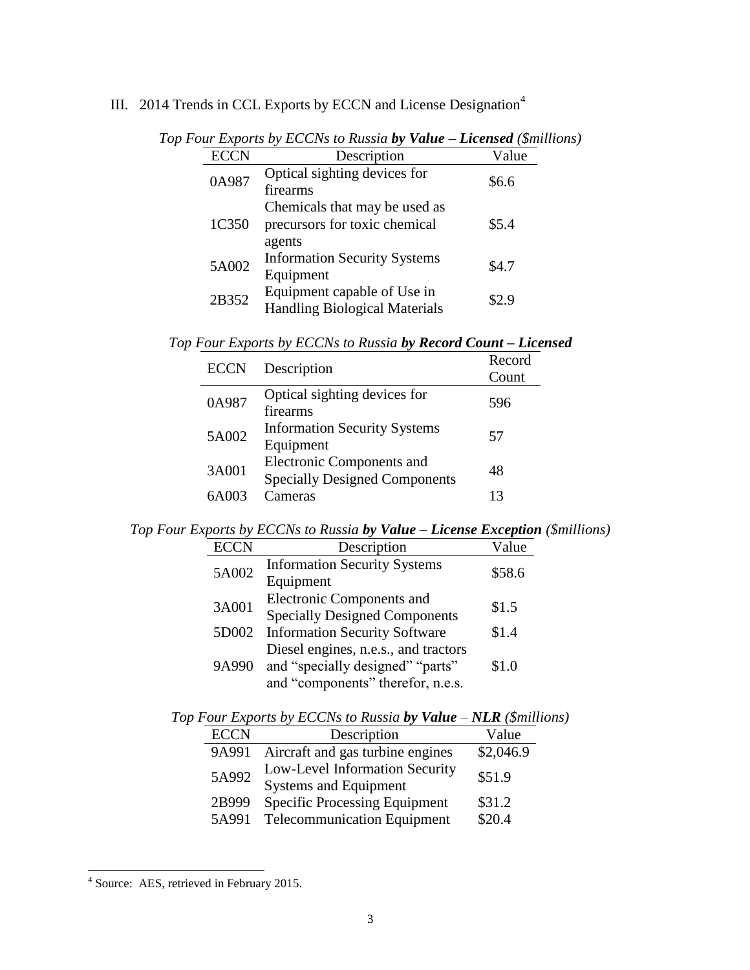## III. 2014 Trends in CCL Exports by ECCN and License Designation<sup>4</sup>

| <b>ECCN</b> | Description                                                              | Value |
|-------------|--------------------------------------------------------------------------|-------|
| 0A987       | Optical sighting devices for<br>firearms                                 | \$6.6 |
| 1C350       | Chemicals that may be used as<br>precursors for toxic chemical<br>agents | \$5.4 |
| 5A002       | <b>Information Security Systems</b><br>Equipment                         | \$4.7 |
| 2B352       | Equipment capable of Use in<br><b>Handling Biological Materials</b>      | \$2.9 |

*Top Four Exports by ECCNs to Russia by Value – Licensed (\$millions)*

|  | Top Four Exports by ECCNs to Russia by Record Count - Licensed |  |  |
|--|----------------------------------------------------------------|--|--|
|  |                                                                |  |  |

| <b>ECCN</b> | Description                                                       | Record<br>Count |
|-------------|-------------------------------------------------------------------|-----------------|
| 0A987       | Optical sighting devices for<br>firearms                          | 596             |
| 5A002       | <b>Information Security Systems</b><br>Equipment                  | 57              |
| 3A001       | Electronic Components and<br><b>Specially Designed Components</b> | 48              |
| 64003       | Cameras                                                           | 13              |

*Top Four Exports by ECCNs to Russia by Value – License Exception (\$millions)*

| <b>ECCN</b> | Description                                                                                                   | Value  |
|-------------|---------------------------------------------------------------------------------------------------------------|--------|
| 5A002       | <b>Information Security Systems</b><br>Equipment                                                              | \$58.6 |
| 3A001       | <b>Electronic Components and</b><br><b>Specially Designed Components</b>                                      | \$1.5  |
| 5D002       | <b>Information Security Software</b>                                                                          | \$1.4  |
| 9A990       | Diesel engines, n.e.s., and tractors<br>and "specially designed" "parts"<br>and "components" therefor, n.e.s. | \$1.0  |

*Top Four Exports by ECCNs to Russia by Value – NLR (\$millions)*

| <b>ECCN</b> | Description                                                    | Value     |
|-------------|----------------------------------------------------------------|-----------|
| 9A991       | Aircraft and gas turbine engines                               | \$2,046.9 |
| 5A992       | Low-Level Information Security<br><b>Systems and Equipment</b> | \$51.9    |
| 2B999       | <b>Specific Processing Equipment</b>                           | \$31.2    |
| 5A991       | <b>Telecommunication Equipment</b>                             | \$20.4    |

 4 Source: AES, retrieved in February 2015.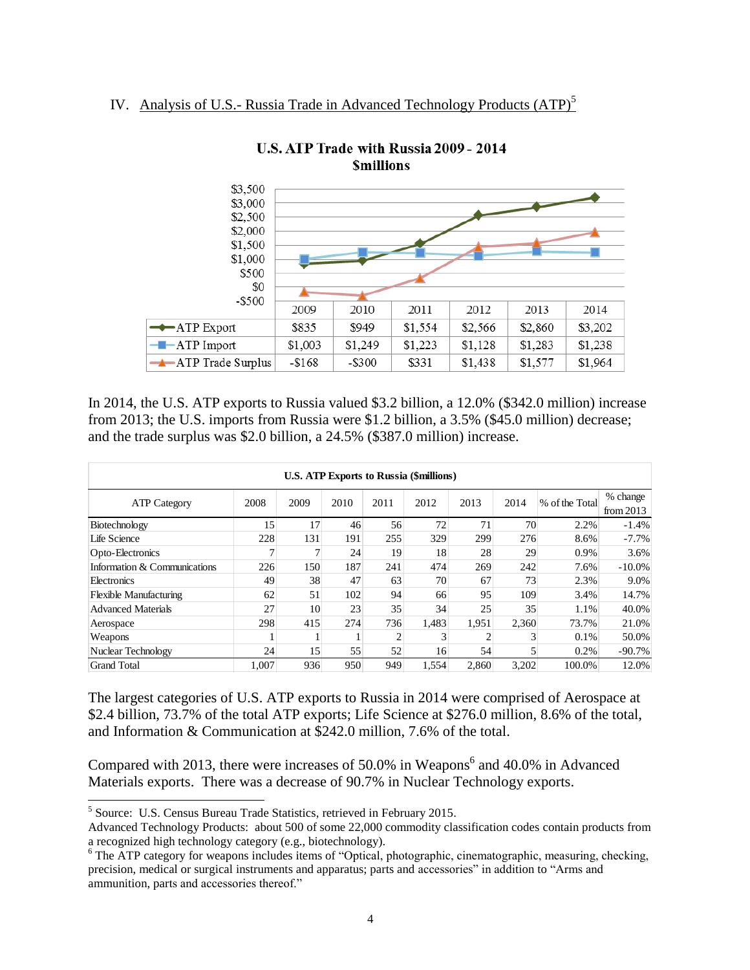## IV. Analysis of U.S.- Russia Trade in Advanced Technology Products (ATP)<sup>5</sup>



U.S. ATP Trade with Russia 2009 - 2014 **Smillions** 

In 2014, the U.S. ATP exports to Russia valued \$3.2 billion, a 12.0% (\$342.0 million) increase from 2013; the U.S. imports from Russia were \$1.2 billion, a 3.5% (\$45.0 million) decrease; and the trade surplus was \$2.0 billion, a 24.5% (\$387.0 million) increase.

| <b>U.S. ATP Exports to Russia (\$millions)</b> |                 |      |      |      |       |       |       |                |                         |
|------------------------------------------------|-----------------|------|------|------|-------|-------|-------|----------------|-------------------------|
| <b>ATP Category</b>                            | 2008            | 2009 | 2010 | 2011 | 2012  | 2013  | 2014  | % of the Total | % change<br>from $2013$ |
| Biotechnology                                  | 15 <sup>1</sup> | 17   | 46   | 56   | 72    | 71    | 70    | 2.2%           | $-1.4%$                 |
| Life Science                                   | 228             | 131  | 191  | 255  | 329   | 299   | 276   | 8.6%           | $-7.7\%$                |
| Opto-Electronics                               | 7               | 7    | 24   | 19   | 18    | 28    | 29    | 0.9%           | 3.6%                    |
| Information & Communications                   | 226             | 150  | 187  | 241  | 474   | 269   | 242   | 7.6%           | $-10.0\%$               |
| Electronics                                    | 49              | 38   | 47   | 63   | 70    | 67    | 73    | 2.3%           | 9.0%                    |
| <b>Flexible Manufacturing</b>                  | 62              | 51   | 102  | 94   | 66    | 95    | 109   | 3.4%           | 14.7%                   |
| <b>Advanced Materials</b>                      | 27              | 10   | 23   | 35   | 34    | 25    | 35    | 1.1%           | 40.0%                   |
| Aerospace                                      | 298             | 415  | 274  | 736  | 1.483 | 1.951 | 2,360 | 73.7%          | 21.0%                   |
| Weapons                                        |                 |      |      | 2    | 3     |       |       | 0.1%           | 50.0%                   |
| Nuclear Technology                             | 24              | 15   | 55   | 52   | 16    | 54    |       | 0.2%           | $-90.7%$                |
| <b>Grand Total</b>                             | 1.007           | 936  | 950  | 949  | 1,554 | 2.860 | 3,202 | 100.0%         | 12.0%                   |

The largest categories of U.S. ATP exports to Russia in 2014 were comprised of Aerospace at \$2.4 billion, 73.7% of the total ATP exports; Life Science at \$276.0 million, 8.6% of the total, and Information & Communication at \$242.0 million, 7.6% of the total.

Compared with 2013, there were increases of  $50.0\%$  in Weapons<sup>6</sup> and 40.0% in Advanced Materials exports. There was a decrease of 90.7% in Nuclear Technology exports.

l

<sup>&</sup>lt;sup>5</sup> Source: U.S. Census Bureau Trade Statistics, retrieved in February 2015.

Advanced Technology Products: about 500 of some 22,000 commodity classification codes contain products from a recognized high technology category (e.g., biotechnology).

<sup>&</sup>lt;sup>6</sup> The ATP category for weapons includes items of "Optical, photographic, cinematographic, measuring, checking, precision, medical or surgical instruments and apparatus; parts and accessories" in addition to "Arms and ammunition, parts and accessories thereof."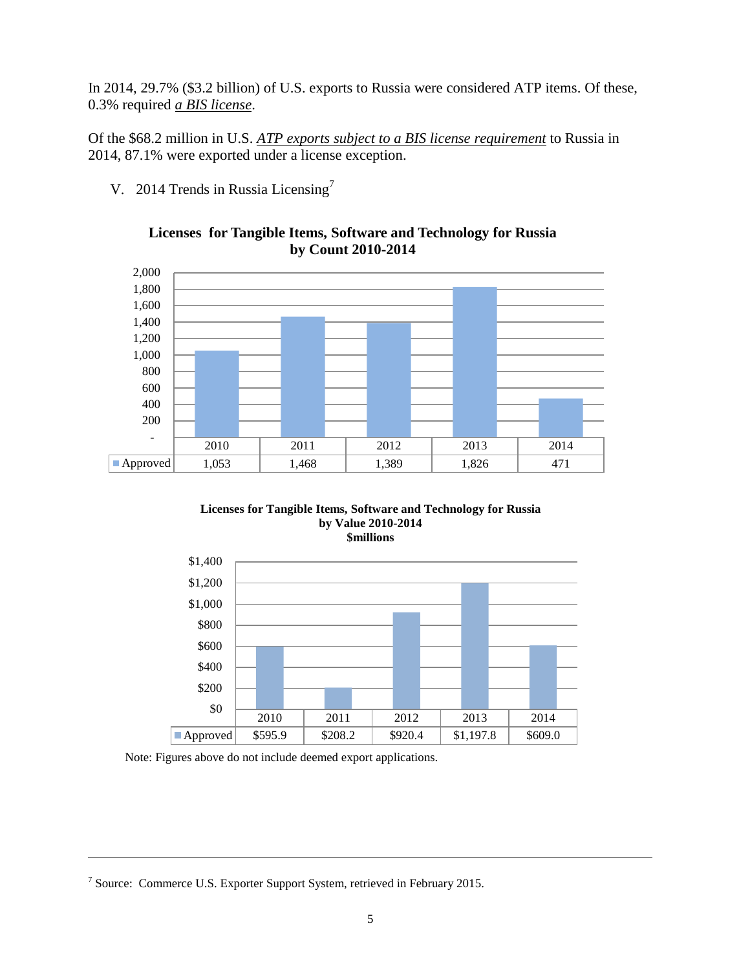In 2014, 29.7% (\$3.2 billion) of U.S. exports to Russia were considered ATP items. Of these, 0.3% required *a BIS license*.

Of the \$68.2 million in U.S. *ATP exports subject to a BIS license requirement* to Russia in 2014, 87.1% were exported under a license exception.

V. 2014 Trends in Russia Licensing<sup>7</sup>



**Licenses for Tangible Items, Software and Technology for Russia by Count 2010-2014**





Note: Figures above do not include deemed export applications.

<sup>7</sup> Source: Commerce U.S. Exporter Support System, retrieved in February 2015.

l